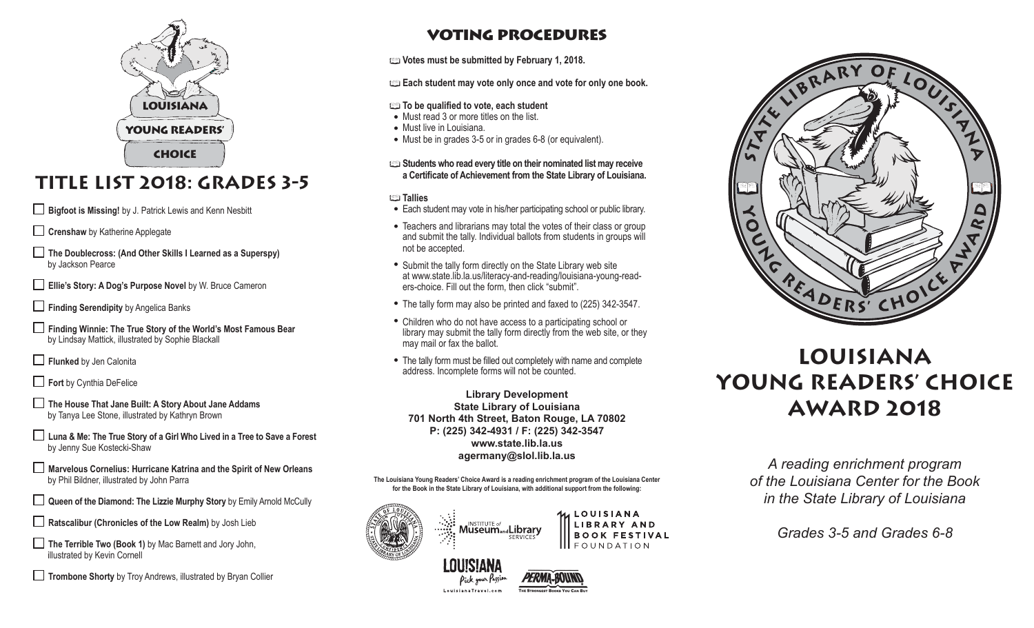

# **Title List 2018: Grades 3-5**

**Bigfoot is Missing!** by J. Patrick Lewis and Kenn Nesbitt

**Crenshaw** by Katherine Applegate

**The Doublecross: (And Other Skills I Learned as a Superspy)** by Jackson Pearce

**Ellie's Story: A Dog's Purpose Novel** by W. Bruce Cameron

**Finding Serendipity** by Angelica Banks

**Finding Winnie: The True Story of the World's Most Famous Bear** by Lindsay Mattick, illustrated by Sophie Blackall

**Flunked** by Jen Calonita

**Fort** by Cynthia DeFelice

- **The House That Jane Built: A Story About Jane Addams**  by Tanya Lee Stone, illustrated by Kathryn Brown
- **Luna & Me: The True Story of a Girl Who Lived in a Tree to Save a Forest**  by Jenny Sue Kostecki-Shaw
- **Marvelous Cornelius: Hurricane Katrina and the Spirit of New Orleans** by Phil Bildner, illustrated by John Parra
- **Queen of the Diamond: The Lizzie Murphy Story** by Emily Arnold McCully

**Ratscalibur (Chronicles of the Low Realm)** by Josh Lieb

- The Terrible Two (Book 1) by Mac Barnett and Jory John, illustrated by Kevin Cornell
- **Trombone Shorty** by Troy Andrews, illustrated by Bryan Collier

## voting procedures

**Votes must be submitted by February 1, 2018.**

**Each student may vote only once and vote for only one book.**

#### **To be qualified to vote, each student**

- Must read 3 or more titles on the list.
- Must live in Louisiana.
- Must be in grades 3-5 or in grades 6-8 (or equivalent).
- **Students who read every title on their nominated list may receive a Certificate of Achievement from the State Library of Louisiana.**

#### **Tallies**

- Each student may vote in his/her participating school or public library.
- Teachers and librarians may total the votes of their class or group and submit the tally. Individual ballots from students in groups will not be accepted.
- Submit the tally form directly on the State Library web site at www.state.lib.la.us/literacy-and-reading/louisiana-young-readers-choice. Fill out the form, then click "submit".
- The tally form may also be printed and faxed to (225) 342-3547.
- Children who do not have access to a participating school or library may submit the tally form directly from the web site, or they may mail or fax the ballot.
- The tally form must be filled out completely with name and complete address. Incomplete forms will not be counted.

**Library Development State Library of Louisiana 701 North 4th Street, Baton Rouge, LA 70802 P: (225) 342-4931 / F: (225) 342-3547 www.state.lib.la.us agermany@slol.lib.la.us**

**The Louisiana Young Readers' Choice Award is a reading enrichment program of the Louisiana Center for the Book in the State Library of Louisiana, with additional support from the following:** 



LOUISIANA LIBRARY AND **BOOK FESTIVAL III** FOUNDATION



# **LOUISIANA YOUNG READERS' CHOICE AWARD 2018**

*A reading enrichment program of the Louisiana Center for the Book in the State Library of Louisiana*

*Grades 3-5 and Grades 6-8*

LouisianaTravel.com